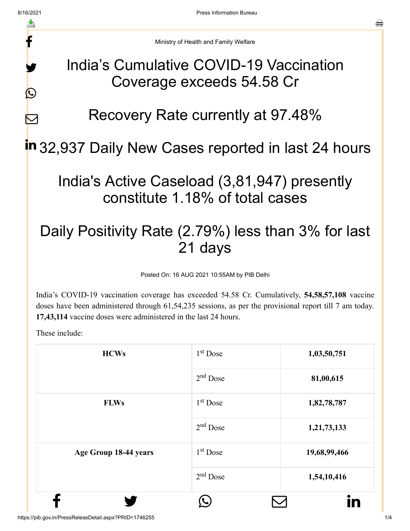f

y.

 $\bigcirc$ 

 $\nabla$ 



#### India's Cumulative COVID-19 Vaccination Coverage exceeds 54.58 Cr

### Recovery Rate currently at 97.48%

# in 32,937 Daily New Cases reported in last 24 hours

### India's Active Caseload (3,81,947) presently constitute 1.18% of total cases

## Daily Positivity Rate (2.79%) less than 3% for last 21 days

Posted On: 16 AUG 2021 10:55AM by PIB Delhi

India's COVID-19 vaccination coverage has exceeded 54.58 Cr. Cumulatively, **54,58,57,108** vaccine doses have been administered through 61,54,235 sessions, as per the provisional report till 7 am today. **17,43,114** vaccine doses were administered in the last 24 hours.

These include:

| <b>HCWs</b>           | $1st$ Dose           | 1,03,50,751  |
|-----------------------|----------------------|--------------|
|                       | $2nd$ Dose           | 81,00,615    |
| <b>FLWs</b>           | $1st$ Dose           | 1,82,78,787  |
|                       | $2nd$ Dose           | 1,21,73,133  |
| Age Group 18-44 years | 1 <sup>st</sup> Dose | 19,68,99,466 |
|                       | $2nd$ Dose           | 1,54,10,416  |
|                       |                      | in           |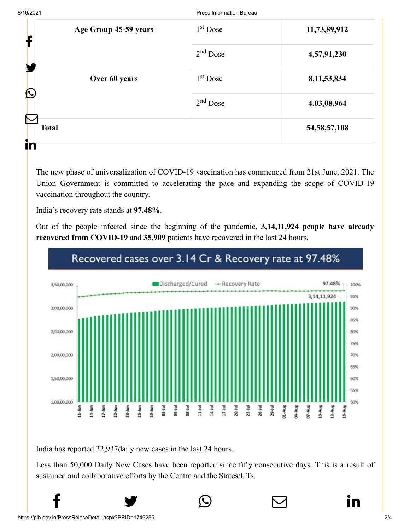8/16/2021 Press Information Bureau

| Age Group 45-59 years<br>f         | 1 <sup>st</sup> Dose | 11,73,89,912 |                 |
|------------------------------------|----------------------|--------------|-----------------|
|                                    | $2nd$ Dose           | 4,57,91,230  |                 |
| Over 60 years<br>$\mathbf{\Omega}$ | $1st$ Dose           | 8,11,53,834  |                 |
|                                    | $2nd$ Dose           | 4,03,08,964  |                 |
| $\mathcal{R}$<br><b>Total</b>      |                      |              | 54, 58, 57, 108 |
| in                                 |                      |              |                 |

The new phase of universalization of COVID-19 vaccination has commenced from 21st June, 2021. The Union Government is committed to accelerating the pace and expanding the scope of COVID-19 vaccination throughout the country.

India's recovery rate stands at **97.48%**.

Out of the people infected since the beginning of the pandemic, **3,14,11,924 people have already recovered from COVID-19** and **35,909** patients have recovered in the last 24 hours.



#### Recovered cases over 3.14 Cr & Recovery rate at 97.48%

India has reported 32,937daily new cases in the last 24 hours.

Less than 50,000 Daily New Cases have been reported since fifty consecutive days. This is a result of sustained and collaborative efforts by the Centre and the States/UTs.

 $f$   $\rightarrow$   $\circ$   $\quad \circ$  in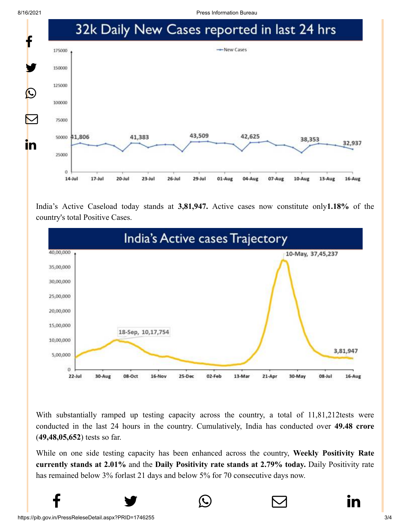8/16/2021 Press Information Bureau



India's Active Caseload today stands at **3,81,947.** Active cases now constitute only**1.18%** of the country's total Positive Cases.



With substantially ramped up testing capacity across the country, a total of 11,81,212tests were conducted in the last 24 hours in the country. Cumulatively, India has conducted over **49.48 crore** (**49,48,05,652**) tests so far.

While on one side testing capacity has been enhanced across the country, **Weekly Positivity Rate currently stands at 2.01%** and the **Daily Positivity rate stands at 2.79% today.** Daily Positivity rate has remained below 3% forlast 21 days and below 5% for 70 consecutive days now.

 $f$   $\rightarrow$   $\circ$   $\quad \circ$  in